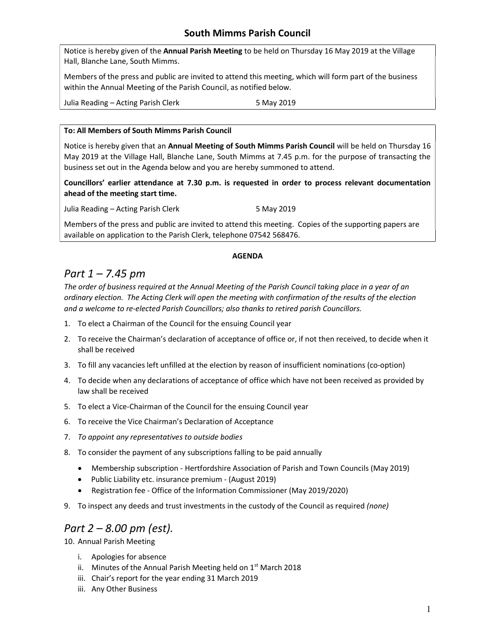### South Mimms Parish Council

Notice is hereby given of the Annual Parish Meeting to be held on Thursday 16 May 2019 at the Village Hall, Blanche Lane, South Mimms.

Members of the press and public are invited to attend this meeting, which will form part of the business within the Annual Meeting of the Parish Council, as notified below.

Julia Reading – Acting Parish Clerk 5 May 2019

#### To: All Members of South Mimms Parish Council

Notice is hereby given that an Annual Meeting of South Mimms Parish Council will be held on Thursday 16 May 2019 at the Village Hall, Blanche Lane, South Mimms at 7.45 p.m. for the purpose of transacting the business set out in the Agenda below and you are hereby summoned to attend.

Councillors' earlier attendance at 7.30 p.m. is requested in order to process relevant documentation ahead of the meeting start time.

Julia Reading – Acting Parish Clerk 5 May 2019

Members of the press and public are invited to attend this meeting. Copies of the supporting papers are available on application to the Parish Clerk, telephone 07542 568476.

#### AGENDA

### Part 1 – 7.45 pm

The order of business required at the Annual Meeting of the Parish Council taking place in a year of an ordinary election. The Acting Clerk will open the meeting with confirmation of the results of the election and a welcome to re-elected Parish Councillors; also thanks to retired parish Councillors.

- 1. To elect a Chairman of the Council for the ensuing Council year
- 2. To receive the Chairman's declaration of acceptance of office or, if not then received, to decide when it shall be received
- 3. To fill any vacancies left unfilled at the election by reason of insufficient nominations (co-option)
- 4. To decide when any declarations of acceptance of office which have not been received as provided by law shall be received
- 5. To elect a Vice-Chairman of the Council for the ensuing Council year
- 6. To receive the Vice Chairman's Declaration of Acceptance
- 7. To appoint any representatives to outside bodies
- 8. To consider the payment of any subscriptions falling to be paid annually
	- Membership subscription Hertfordshire Association of Parish and Town Councils (May 2019)
	- Public Liability etc. insurance premium (August 2019)
	- Registration fee Office of the Information Commissioner (May 2019/2020)
- 9. To inspect any deeds and trust investments in the custody of the Council as required (none)

## Part 2 – 8.00 pm (est).

10. Annual Parish Meeting

- i. Apologies for absence
- ii. Minutes of the Annual Parish Meeting held on  $1<sup>st</sup>$  March 2018
- iii. Chair's report for the year ending 31 March 2019
- iii. Any Other Business